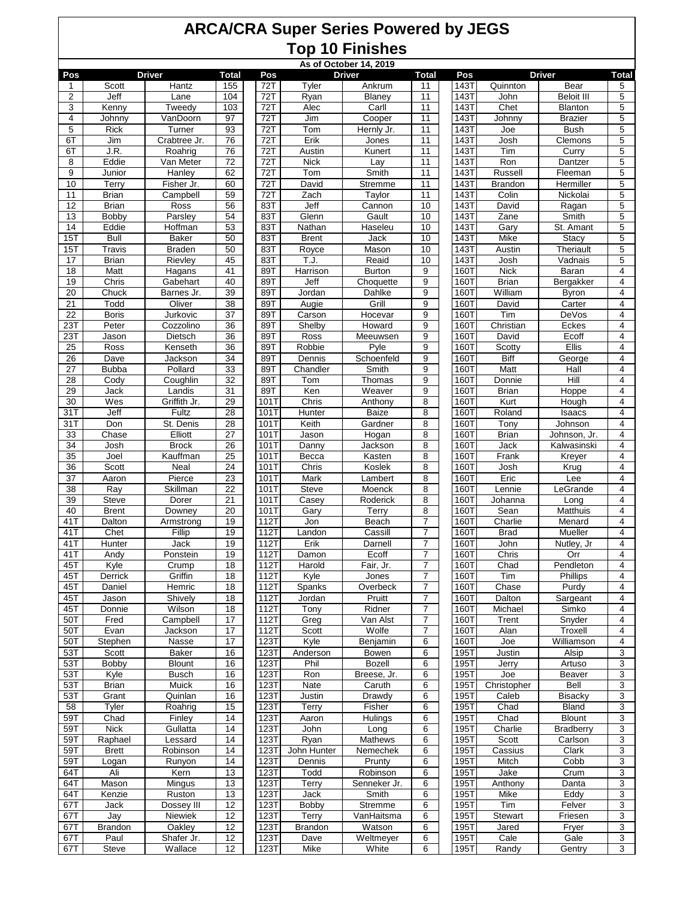| As of October 14, 2019<br><b>Driver</b><br><b>Driver</b><br><b>Driver</b> |                       |                     |                 |              |                |                      |                         |                     |                     |                               |                |
|---------------------------------------------------------------------------|-----------------------|---------------------|-----------------|--------------|----------------|----------------------|-------------------------|---------------------|---------------------|-------------------------------|----------------|
| Pos                                                                       |                       |                     | Total           | Pos          |                |                      | Total                   | Pos                 |                     |                               | Total          |
| 1                                                                         | Scott                 | Hantz               | 155             | 72T          | Tyler          | Ankrum               | 11                      | 143T                | Quinnton            | Bear                          | 5              |
| $\overline{2}$                                                            | Jeff                  | Lane                | 104             | 72T          | Ryan           | Blaney               | 11                      | 143T                | John                | <b>Beloit III</b>             | 5              |
| 3                                                                         | Kenny                 | Tweedy              | 103             | 72T          | Alec           | Carll                | 11                      | 143T                | Chet                | Blanton                       | 5              |
| 4<br>$\overline{5}$                                                       | Johnny<br><b>Rick</b> | VanDoorn<br>Turner  | 97<br>93        | 72T<br>72T   | Jim<br>Tom     | Cooper<br>Hernly Jr. | 11<br>11                | <b>143T</b><br>143T | Johnny<br>Joe       | <b>Brazier</b><br><b>Bush</b> | 5<br>5         |
| 6T                                                                        | Jim                   | Crabtree Jr.        | 76              | 72T          | Erik           | Jones                | 11                      | 143T                | Josh                | Clemons                       | 5              |
| 6T                                                                        | J.R.                  | Roahrig             | 76              | 72T          | Austin         | Kunert               | 11                      | 143T                | Tim                 | Curry                         | 5              |
| 8                                                                         | Eddie                 | Van Meter           | $\overline{72}$ | 72T          | <b>Nick</b>    | Lay                  | 11                      | 143T                | Ron                 | Dantzer                       | 5              |
| 9                                                                         | Junior                | Hanley              | 62              | 72T          | Tom            | Smith                | 11                      | <b>143T</b>         | Russell             | Fleeman                       | 5              |
| 10                                                                        | Terry                 | Fisher Jr.          | 60              | 72T          | David          | Stremme              | 11                      | 143T                | <b>Brandon</b>      | Hermiller                     | 5              |
| 11                                                                        | <b>Brian</b>          | Campbell            | 59              | 72T          | Zach           | Taylor               | 11                      | 143T                | Colin               | Nickolai                      | 5              |
| 12                                                                        | <b>Brian</b>          | Ross                | 56              | 83T          | Jeff           | Cannon               | 10                      | 143T                | David               | Ragan                         | 5              |
| 13                                                                        | Bobby                 | Parsley             | 54              | 83T          | Glenn          | Gault                | 10                      | 143T                | Zane                | Smith                         | $\overline{5}$ |
| 14                                                                        | Eddie                 | Hoffman             | 53              | 83T          | Nathan         | Haseleu              | 10                      | 143T                | Gary                | St. Amant                     | 5              |
| 15T                                                                       | Bull                  | Baker               | 50              | 83T          | <b>Brent</b>   | Jack                 | 10                      | 143T                | Mike                | <b>Stacy</b>                  | 5              |
| 15T                                                                       | Travis                | <b>Braden</b>       | 50              | 83T          | Royce          | Mason                | 10                      | 143T                | Austin              | Theriault                     | 5              |
| 17                                                                        | <b>Brian</b>          | Rievley             | 45              | 83T          | T.J.           | Reaid                | 10                      | 143T                | Josh                | Vadnais                       | 5              |
| 18                                                                        | Matt                  | Hagans              | 41              | 89T          | Harrison       | <b>Burton</b>        | 9                       | 160T                | <b>Nick</b>         | Baran                         | 4              |
| 19                                                                        | Chris                 | Gabehart            | 40              | 89T          | Jeff           | Choquette            | 9                       | <b>160T</b>         | <b>Brian</b>        | Bergakker                     | 4              |
| $\overline{20}$                                                           | Chuck                 | Barnes Jr.          | $\overline{39}$ | 89T          | Jordan         | Dahlke               | 9                       | 160T                | William             | <b>Byron</b>                  | $\overline{4}$ |
| 21                                                                        | Todd                  | Oliver              | 38              | 89T          | Augie          | Grill                | 9                       | 1601                | David               | Carter                        | 4              |
| 22                                                                        | <b>Boris</b>          | Jurkovic            | 37              | 89T          | Carson         | Hocevar              | 9                       | <b>160T</b>         | Tim                 | DeVos                         | 4              |
| 23T                                                                       | Peter                 | Cozzolino           | 36              | 89T          | Shelby         | Howard               | 9                       | 160T                | Christian           | Eckes                         | 4              |
| 23T                                                                       | Jason                 | Dietsch             | 36              | 89T          | Ross           | Meeuwsen             | 9                       | <b>160T</b>         | David               | Ecoff                         | 4              |
| 25                                                                        | Ross                  | Kenseth             | $\overline{36}$ | 89T          | Robbie         | Pyle                 | 9                       | 160T                | Scotty              | <b>Ellis</b>                  | $\overline{4}$ |
| 26                                                                        | Dave                  | Jackson             | 34              | 89T          | Dennis         | Schoenfeld           | 9                       | 160T                | Biff                | George                        | 4              |
| 27                                                                        | <b>Bubba</b>          | Pollard             | 33              | 89T          | Chandler       | Smith                | 9                       | <b>160T</b>         | Matt                | Hall                          | 4              |
| 28                                                                        | Cody                  | Coughlin            | 32              | 89T          | Tom            | Thomas               | 9                       | 160T                | Donnie              | Hill                          | 4              |
| 29                                                                        | Jack                  | Landis              | 31              | 89T          | Ken            | Weaver               | 9                       | <b>160T</b>         | <b>Brian</b>        | Hoppe                         | 4              |
| $\overline{30}$                                                           | Wes                   | Griffith Jr.        | 29              | 101T         | Chris          | Anthony              | 8                       | 160T                | Kurt                | Hough                         | $\overline{4}$ |
| 31T                                                                       | Jeff                  | Fultz               | 28              | 101T         | Hunter         | <b>Baize</b>         | 8                       | 1601                | Roland              | Isaacs                        | 4              |
| 31T                                                                       | Don                   | St. Denis           | 28              | 101T         | Keith          | Gardner              | 8                       | <b>160T</b>         | Tony                | Johnson                       | 4              |
| 33                                                                        | Chase                 | Elliott             | 27              | 101T         | Jason          | Hogan                | 8                       | 160T                | <b>Brian</b>        | Johnson, Jr.                  | 4              |
| 34                                                                        | Josh                  | <b>Brock</b>        | 26              | 101T         | Danny          | Jackson              | 8                       | <b>160T</b>         | Jack                | Kalwasinski                   | 4              |
| 35                                                                        | Joel                  | Kauffman            | 25              | 101T         | <b>Becca</b>   | Kasten               | 8                       | <b>160T</b>         | Frank               | Kreyer                        | 4              |
| 36                                                                        | Scott                 | Neal                | 24              | 101T         | Chris          | Koslek               | 8                       | 1601                | Josh                | Krug                          | 4              |
| 37                                                                        | Aaron                 | Pierce              | 23              | 101T         | Mark           | Lambert              | 8                       | <b>160T</b>         | Eric                | Lee                           | 4              |
| $\overline{38}$                                                           | Ray                   | Skillman            | $\overline{22}$ | 101T         | <b>Steve</b>   | Moenck               | 8                       | 160T                | Lennie              | LeGrande                      | 4              |
| 39                                                                        | <b>Steve</b>          | Dorer               | 21              | 101T         | Casey          | Roderick             | 8                       | <b>160T</b>         | Johanna             | Long                          | 4              |
| 40                                                                        | <b>Brent</b>          | Downey              | 20              | 101T         | Gary           | Terry                | 8                       | <b>160T</b>         | Sean                | Matthuis                      | 4              |
| 41 T                                                                      | Dalton<br>Chet        | Armstrong<br>Fillip | 19              | 112T         | Jon            | Beach<br>Cassill     | $\overline{7}$<br>7     | 1601                | Charlie             | Menard<br>Mueller             | 4              |
| 41T<br>41T                                                                | Hunter                | Jack                | 19<br>19        | 112T<br>112T | Landon<br>Erik | Darnell              | $\overline{7}$          | <b>160T</b><br>160T | <b>Brad</b><br>John |                               | 4<br>4         |
| 41T                                                                       | Andy                  | Ponstein            | 19              | 112T         | Damon          | Ecoff                | $\overline{7}$          | 1601                | Chris               | Nutley, Jr<br>Orr             | 4              |
| 45T                                                                       | Kyle                  | Crump               | 18              | 112T         | Harold         | Fair, Jr.            | $\overline{7}$          | 160T                | Chad                | Pendleton                     | 4              |
| 45T                                                                       | Derrick               | Griffin             | 18              | 112T         | Kyle           | Jones                | 7                       | 160T                | Tim                 | Phillips                      | 4              |
| 45T                                                                       | Daniel                | Hemric              | 18              | 112T         | Spanks         | Overbeck             | $\overline{7}$          | 160T                | Chase               | Purdy                         | 4              |
| 45T                                                                       | Jason                 | Shively             | 18              | 112T         | Jordan         | Pruitt               | 7                       | 160T                | Dalton              | Sargeant                      | 4              |
| 45T                                                                       | Donnie                | Wilson              | 18              | 112T         | Tony           | Ridner               | $\overline{\mathbf{7}}$ | 160T                | Michael             | Simko                         | 4              |
| 50T                                                                       | Fred                  | Campbell            | 17              | 112T         | Greg           | Van Alst             | 7                       | 160T                | Trent               | Snyder                        | 4              |
| 50T                                                                       | Evan                  | Jackson             | 17              | 112T         | Scott          | Wolfe                | 7                       | 160T                | Alan                | Troxell                       | 4              |
| 50T                                                                       | Stephen               | Nasse               | 17              | 123T         | Kyle           | Benjamin             | 6                       | 160T                | Joe                 | Williamson                    | 4              |
| 53T                                                                       | Scott                 | <b>Baker</b>        | 16              | 123T         | Anderson       | <b>Bowen</b>         | 6                       | 195T                | Justin              | Alsip                         | 3              |
| 53T                                                                       | Bobby                 | <b>Blount</b>       | 16              | 123T         | Phil           | Bozell               | 6                       | 195T                | Jerry               | Artuso                        | 3              |
| 53T                                                                       | Kyle                  | <b>Busch</b>        | 16              | 123T         | Ron            | Breese, Jr.          | 6                       | 195T                | Joe                 | Beaver                        | $\overline{3}$ |
| 53T                                                                       | <b>Brian</b>          | Muick               | 16              | 123T         | Nate           | Caruth               | 6                       | 1951                | Christopher         | Bell                          | 3              |
| 53T                                                                       | Grant                 | Quinlan             | 16              | 123T         | Justin         | Drawdy               | 6                       | 195T                | Caleb               | <b>Bisacky</b>                | 3              |
| 58                                                                        | Tyler                 | Roahrig             | 15              | 123T         | Terry          | Fisher               | 6                       | 195T                | Chad                | Bland                         | $\overline{3}$ |
| 59T                                                                       | Chad                  | Finley              | 14              | 123T         | Aaron          | Hulings              | 6                       | 195T                | Chad                | <b>Blount</b>                 | 3              |
| 59T                                                                       | <b>Nick</b>           | Gullatta            | 14              | 123T         | John           | Long                 | 6                       | 195T                | Charlie             | <b>Bradberry</b>              | 3              |
| 59T                                                                       | Raphael               | Lessard             | 14              | 123T         | Ryan           | Mathews              | 6                       | 195T                | Scott               | Carlson                       | 3              |
| 59T                                                                       | <b>Brett</b>          | Robinson            | 14              | 123T         | John Hunter    | Nemechek             | 6                       | 195T                | Cassius             | Clark                         | 3              |
| 59T                                                                       | Logan                 | Runyon              | 14              | 123T         | Dennis         | Prunty               | 6                       | 195T                | Mitch               | Cobb                          | $\overline{3}$ |
| 64T                                                                       | Ali                   | Kern                | 13              | 123T         | Todd           | Robinson             | 6                       | 195T                | Jake                | Crum                          | 3              |
| 64T                                                                       | Mason                 | Mingus              | 13              | 123T         | Terry          | Senneker Jr.         | 6                       | 195T                | Anthony             | Danta                         | 3              |
| 64T                                                                       | Kenzie                | Ruston              | 13              | 123T         | Jack           | Smith                | 6                       | 195T                | Mike                | Eddy                          | 3              |
| 67T                                                                       | Jack                  | Dossey III          | 12              | 123T         | Bobby          | Stremme              | 6                       | 195T                | Tim                 | Felver                        | 3              |
| 67T                                                                       | Jay                   | Niewiek             | 12              | 123T         | Terry          | VanHaitsma           | 6                       | 195T                | Stewart             | Friesen                       | 3              |
| 67T                                                                       | <b>Brandon</b>        | Oakley              | $\overline{12}$ | 123T         | <b>Brandon</b> | Watson               | 6                       | 195T                | Jared               | Fryer                         | 3              |
| 67T                                                                       | Paul                  | Shafer Jr.          | 12              | 123T         | Dave           | Weltmeyer            | 6                       | 195T                | Cale                | Gale                          | 3              |
| 67T                                                                       | Steve                 | Wallace             | 12              | 123T         | Mike           | White                | 6                       | 195T                | Randy               | Gentry                        | 3              |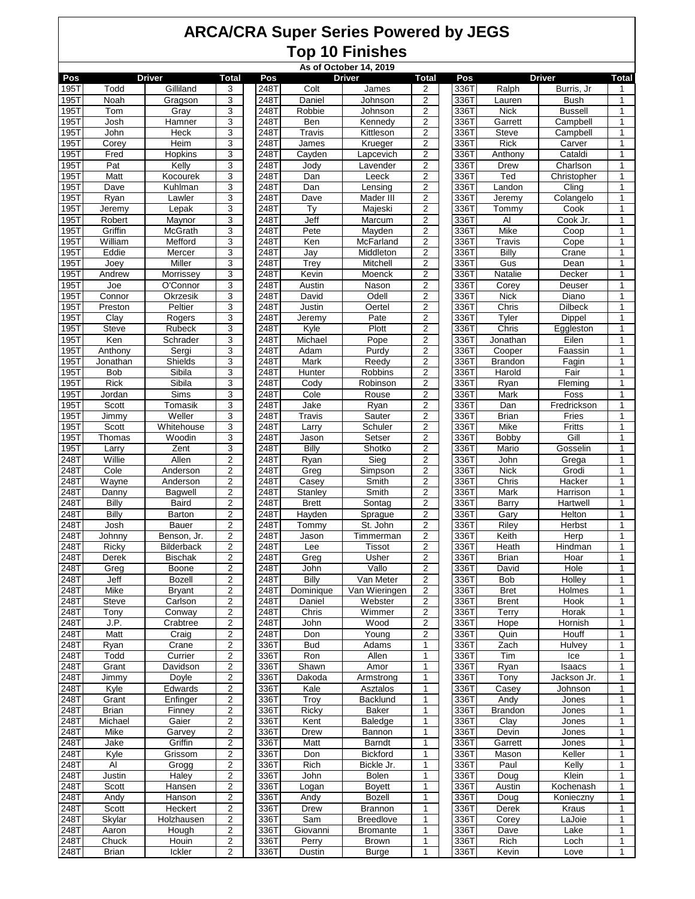|                            |                         |                   |                                  | As of October 14, 2019 |               |                         |                         |  |              |                        |                      |                   |  |  |
|----------------------------|-------------------------|-------------------|----------------------------------|------------------------|---------------|-------------------------|-------------------------|--|--------------|------------------------|----------------------|-------------------|--|--|
| Pos                        |                         | <b>Driver</b>     | <b>Total</b>                     | Pos                    |               | <b>Driver</b>           | <b>Total</b>            |  | Pos          |                        | <b>Driver</b>        | Total             |  |  |
| 195T                       | Todd                    | Gilliland         | 3                                | 248T                   | Colt          | James                   | 2                       |  | 336T         | Ralph                  | Burris, Jr           | 1                 |  |  |
| 195T                       | Noah                    | Gragson           | 3                                | 248T                   | Daniel        | Johnson                 | $\overline{2}$          |  | 336T         | Lauren                 | <b>Bush</b>          | $\mathbf{1}$      |  |  |
| 195T                       | Tom                     | Gray              | 3                                | 248T<br>248T           | Robbie<br>Ben | Johnson                 | $\overline{2}$<br>2     |  | 336T         | <b>Nick</b>            | <b>Bussell</b>       | $\mathbf{1}$<br>1 |  |  |
| 195T<br>195T               | Josh<br>John            | Hamner<br>Heck    | 3<br>3                           | 248T                   | Travis        | Kennedy<br>Kittleson    | 2                       |  | 336T<br>336T | Garrett<br>Steve       | Campbell<br>Campbell | 1                 |  |  |
| 195T                       | Corey                   | Heim              | 3                                | 248T                   | James         | Krueger                 | $\overline{2}$          |  | 336T         | <b>Rick</b>            | Carver               | $\mathbf{1}$      |  |  |
| 195T                       | Fred                    | <b>Hopkins</b>    | 3                                | 248T                   | Cayden        | Lapcevich               | $\overline{2}$          |  | 336T         | Anthony                | Cataldi              | $\mathbf{1}$      |  |  |
| 195T                       | Pat                     | Kelly             | $\overline{3}$                   | 248T                   | Jody          | Lavender                | $\overline{2}$          |  | 336T         | Drew                   | Charlson             | $\mathbf{1}$      |  |  |
| 195T                       | <b>Matt</b>             | Kocourek          | 3                                | 248T                   | Dan           | Leeck                   | 2                       |  | 336T         | Ted                    | Christopher          | 1                 |  |  |
| 195T                       | Dave                    | Kuhlman           | 3                                | 248T                   | Dan           | Lensing                 | 2                       |  | 336T         | Landon                 | Cling                | 1                 |  |  |
| 195T                       | Ryan                    | Lawler            | 3                                | 248T                   | Dave          | Mader III               | $\overline{2}$          |  | 336T         | Jeremy                 | Colangelo            | $\mathbf{1}$      |  |  |
| 195T                       | Jeremv                  | Lepak             | 3                                | 248T                   | Ty            | Majeski                 | $\overline{2}$          |  | 336T         | Tommy                  | Cook                 | $\mathbf{1}$      |  |  |
| 195T                       | Robert                  | Maynor            | $\overline{3}$                   | 248T                   | Jeff          | Marcum                  | $\overline{2}$          |  | 336T         | Al                     | Cook Jr.             | $\mathbf{1}$      |  |  |
| 1951                       | Griffin                 | <b>McGrath</b>    | 3                                | 248T                   | Pete          | Mayden                  | 2                       |  | 336T         | <b>Mike</b>            | Coop                 | 1                 |  |  |
| 195T                       | William                 | Mefford           | 3                                | 248T                   | Ken           | McFarland               | 2                       |  | 336T         | <b>Travis</b>          | Cope                 | 1                 |  |  |
| 195T                       | Eddie                   | Mercer            | 3                                | 248T                   | Jay           | Middleton               | $\overline{2}$          |  | 336T         | Billy                  | Crane                | $\mathbf{1}$      |  |  |
| 195T                       | Joey                    | Miller            | 3                                | 248T                   | Trey          | Mitchell                | $\overline{2}$          |  | 336T         | Gus                    | Dean                 | $\mathbf{1}$      |  |  |
| 195T                       | Andrew                  | Morrissey         | $\overline{3}$                   | 248T                   | Kevin         | Moenck                  | $\overline{2}$          |  | 336T         | Natalie                | Decker               | $\mathbf{1}$      |  |  |
| 195T                       | Joe                     | O'Connor          | 3                                | 248T                   | Austin        | Nason                   | 2                       |  | 336T         | Corey                  | Deuser               | 1                 |  |  |
| 195T                       | Connor                  | Okrzesik          | 3                                | 248T                   | David         | Odell                   | 2                       |  | 336T         | <b>Nick</b>            | Diano                | 1                 |  |  |
| 195T                       | Preston                 | Peltier           | 3                                | 248T                   | Justin        | Oertel                  | $\overline{2}$          |  | 336T         | Chris                  | Dilbeck              | $\mathbf{1}$      |  |  |
| 195T                       | Clay                    | Rogers            | 3                                | 248T                   | Jeremy        | Pate                    | $\overline{c}$          |  | 336T         | Tyler                  | Dippel               | 1                 |  |  |
| 195T                       | <b>Steve</b>            | <b>Rubeck</b>     | $\overline{3}$                   | 248T                   | Kyle          | Plott                   | $\overline{2}$          |  | 336T         | Chris                  | Eggleston            | $\mathbf{1}$      |  |  |
| 195T                       | Ken                     | Schrader          | 3                                | 248T                   | Michael       | Pope                    | $\overline{\mathbf{c}}$ |  | 336T         | Jonathan               | Eilen                | 1                 |  |  |
| 195T                       | Anthony                 | Sergi             | 3                                | 248T                   | Adam          | Purdy                   | 2                       |  | 336T         | Cooper                 | Faassin              | 1                 |  |  |
| 195T                       | Jonathan                | Shields           | 3                                | 248T                   | Mark          | Reedy                   | $\overline{2}$          |  | 336T         | <b>Brandon</b>         | Fagin                | 1                 |  |  |
| 195T                       | Bob                     | Sibila            | 3                                | 248T                   | Hunter        | Robbins                 | $\overline{2}$          |  | 336T         | Harold                 | Fair                 | $\mathbf{1}$      |  |  |
| 195T                       | <b>Rick</b>             | Sibila            | $\overline{3}$                   | 248T                   | Cody          | Robinson                | $\overline{2}$          |  | 336T         | Ryan                   | Fleming              | $\mathbf{1}$      |  |  |
| 195T                       | Jordan                  | Sims              | 3                                | 248T                   | Cole          | Rouse                   | 2                       |  | 336T         | Mark                   | Foss                 | 1                 |  |  |
| 195T                       | Scott                   | Tomasik           | 3                                | 248T                   | Jake          | Ryan                    | 2                       |  | 336T         | Dan                    | Fredrickson          | 1                 |  |  |
| 195T                       | Jimmy                   | Weller            | 3                                | 248T                   | Travis        | Sauter                  | $\overline{2}$          |  | 336T         | <b>Brian</b>           | Fries                | 1                 |  |  |
| 195T                       | Scott                   | Whitehouse        | 3                                | 248T                   | Larry         | Schuler                 | $\overline{c}$          |  | 336T         | <b>Mike</b>            | Fritts               | 1                 |  |  |
| 195T                       | Thomas                  | Woodin            | $\overline{3}$                   | 248T                   | Jason         | Setser                  | $\overline{2}$          |  | 336T         | Bobby                  | Gill                 | $\mathbf{1}$      |  |  |
| 195T<br>248T               | Larry<br>Willie         | Zent<br>Allen     | 3<br>$\overline{2}$              | 248T<br>248T           | Billy         | Shotko<br>Sieg          | 2<br>2                  |  | 336T<br>336T | Mario<br>John          | Gosselin<br>Grega    | 1<br>1            |  |  |
| 248T                       | Cole                    | Anderson          | $\overline{2}$                   | 248T                   | Ryan<br>Greg  | Simpson                 | $\overline{2}$          |  | 336T         | <b>Nick</b>            | Grodi                | 1                 |  |  |
| 248T                       | Wayne                   | Anderson          | $\overline{2}$                   | 248T                   | Casey         | Smith                   | $\overline{c}$          |  | 336T         | Chris                  | Hacker               | 1                 |  |  |
| 248T                       | Danny                   | Bagwell           | $\mathbf 2$                      | 248T                   | Stanley       | Smith                   | $\overline{2}$          |  | 336T         | Mark                   | Harrison             | $\mathbf{1}$      |  |  |
| 248T                       | Billy                   | Baird             | $\overline{2}$                   | 248T                   | <b>Brett</b>  | Sontag                  | 2                       |  | 336T         | Barry                  | Hartwell             | 1                 |  |  |
| 248T                       | Billy                   | Barton            | $\overline{c}$                   | 248T                   | Hayden        | Sprague                 | 2                       |  | 336T         | Gary                   | Helton               | 1                 |  |  |
| 248T                       | Josh                    | Bauer             | $\overline{2}$                   | 248T                   | Tommv         | St. John                | $\overline{2}$          |  | 336T         | Riley                  | Herbst               | 1                 |  |  |
| 248T                       | Johnny                  | Benson, Jr.       | $\overline{\mathbf{c}}$          | 248T                   | Jason         | Timmerman               | $\overline{c}$          |  | 336T         | Keith                  | Herp                 | 1                 |  |  |
| 248T                       | Ricky                   | <b>Bilderback</b> | $\overline{\mathbf{c}}$          | 248T                   | Lee           | <b>Tissot</b>           | $\overline{2}$          |  | 336T         | Heath                  | Hindman              | $\mathbf{1}$      |  |  |
| 2487                       | Derek                   | <b>Bischak</b>    | $\overline{c}$                   | 248T                   | Greg          | Usher                   | 2                       |  | 336T         | <b>Brian</b>           | Hoar                 | 1                 |  |  |
| 248T                       | Greg                    | Boone             | $\overline{2}$                   | 248T                   | John          | Vallo                   | $\overline{2}$          |  | 336T         | David                  | Hole                 | 1                 |  |  |
| 248T                       | Jeff                    | <b>Bozell</b>     | 2                                | 248T                   | Billy         | Van Meter               | 2                       |  | 336T         | <b>Bob</b>             | Holley               | 1                 |  |  |
| 248T                       | Mike                    | <b>Bryant</b>     | $\overline{\mathbf{c}}$          | 248T                   | Dominique     | Van Wieringen           | $\overline{c}$          |  | 336T         | <b>Bret</b>            | Holmes               | 1                 |  |  |
| 248T                       | Steve                   | Carlson           | $\overline{2}$                   | 248T                   | Daniel        | Webster                 | $\overline{c}$          |  | 336T         | <b>Brent</b>           | Hook                 | 1                 |  |  |
| 248T                       | Tony                    | Conwav            | $\overline{2}$                   | 248T                   | Chris         | Wimmer                  | $\overline{2}$          |  | 336T         | Terry                  | Horak                | 1                 |  |  |
| 248T                       | J.P.                    | Crabtree          | 2                                | 248T                   | John          | Wood                    | 2                       |  | 336T         | Hope                   | Hornish              | 1                 |  |  |
| 248T                       | Matt                    | Craig             | $\overline{\mathbf{c}}$          | 248T                   | Don           | Young                   | 2                       |  | 336T         | Quin                   | Houff                | 1                 |  |  |
| 248T                       | Ryan                    | Crane             | $\overline{\mathbf{c}}$          | 336T                   | <b>Bud</b>    | Adams                   | 1                       |  | 336T         | Zach                   | Hulvey               | 1                 |  |  |
| 248T                       | Todd                    | Currier           | $\overline{2}$                   | 336T                   | Ron           | Allen                   | 1                       |  | 336T         | Tim                    | Ice                  | 1                 |  |  |
| 248T                       | Grant                   | Davidson          | $\overline{2}$                   | 336T                   | Shawn         | Amor                    | 1                       |  | 336T         | Ryan                   | Isaacs               | 1                 |  |  |
| 248T                       | Jimmy                   | Doyle             | 2                                | 336T                   | Dakoda        | Armstrong               | 1                       |  | 336T         | Tony                   | Jackson Jr.          | 1                 |  |  |
| 248T                       | Kyle                    | Edwards           | $\overline{\mathbf{c}}$          | 336T                   | Kale          | Asztalos                | 1                       |  | 336T         | Casey                  | Johnson              | 1                 |  |  |
| 248T                       | Grant                   | Enfinger          | $\overline{\mathbf{c}}$          | 336T                   | Troy          | Backlund                | 1                       |  | 336T         | Andy                   | Jones                | 1                 |  |  |
| 248T<br>248T               | <b>Brian</b><br>Michael | Finney<br>Gaier   | $\overline{2}$<br>$\overline{2}$ | 336T<br>336T           | Ricky<br>Kent | <b>Baker</b><br>Baledge | 1<br>1                  |  | 336T<br>336T | <b>Brandon</b><br>Clay | Jones<br>Jones       | $\mathbf{1}$      |  |  |
|                            | Mike                    |                   |                                  | 336T                   |               | Bannon                  | 1                       |  |              | Devin                  |                      | 1                 |  |  |
| 248T<br>$\overline{2}48$ T | Jake                    | Garvey<br>Griffin | 2<br>$\overline{\mathbf{c}}$     | 336T                   | Drew<br>Matt  | Barndt                  | 1                       |  | 336T<br>336T | Garrett                | Jones<br>Jones       | 1<br>1            |  |  |
| 248T                       | Kyle                    | Grissom           | $\overline{\mathbf{c}}$          | 336T                   | Don           | Bickford                | 1                       |  | 336T         | Mason                  | Keller               | 1                 |  |  |
| 248T                       | Al                      | Grogg             | $\overline{2}$                   | 336T                   | Rich          | Bickle Jr.              | 1                       |  | 336T         | Paul                   | Kelly                | 1                 |  |  |
| 248T                       | Justin                  | Haley             | $\overline{2}$                   | 336T                   | John          | Bolen                   | 1                       |  | 336T         | Doug                   | Klein                | 1                 |  |  |
| 248T                       | Scott                   | Hansen            | 2                                | 336T                   | Logan         | <b>Boyett</b>           | 1                       |  | 336T         | Austin                 | Kochenash            | 1                 |  |  |
| 248T                       | Andy                    | Hanson            | $\overline{c}$                   | 336T                   | Andy          | Bozell                  | 1                       |  | 336T         | Doug                   | Konieczny            | 1                 |  |  |
| 248T                       | Scott                   | Heckert           | $\overline{\mathbf{c}}$          | 336T                   | Drew          | Brannon                 | 1                       |  | 336T         | Derek                  | <b>Kraus</b>         | 1                 |  |  |
| 248T                       | Skylar                  | Holzhausen        | $\mathbf 2$                      | 336T                   | Sam           | Breedlove               | 1                       |  | 336T         | Corey                  | LaJoie               | $\mathbf{1}$      |  |  |
| 248T                       | Aaron                   | Hough             | $\overline{2}$                   | 336T                   | Giovanni      | <b>Bromante</b>         | $\mathbf{1}$            |  | 336T         | Dave                   | Lake                 | $\mathbf{1}$      |  |  |
| 248T                       | Chuck                   | Houin             | $\overline{2}$                   | 336T                   | Perry         | <b>Brown</b>            | 1                       |  | 336T         | Rich                   | Loch                 | 1                 |  |  |
| 248T                       | <b>Brian</b>            | Ickler            | $\overline{2}$                   | 336T                   | Dustin        | <b>Burge</b>            | 1                       |  | 336T         | Kevin                  | Love                 | $\mathbf{1}$      |  |  |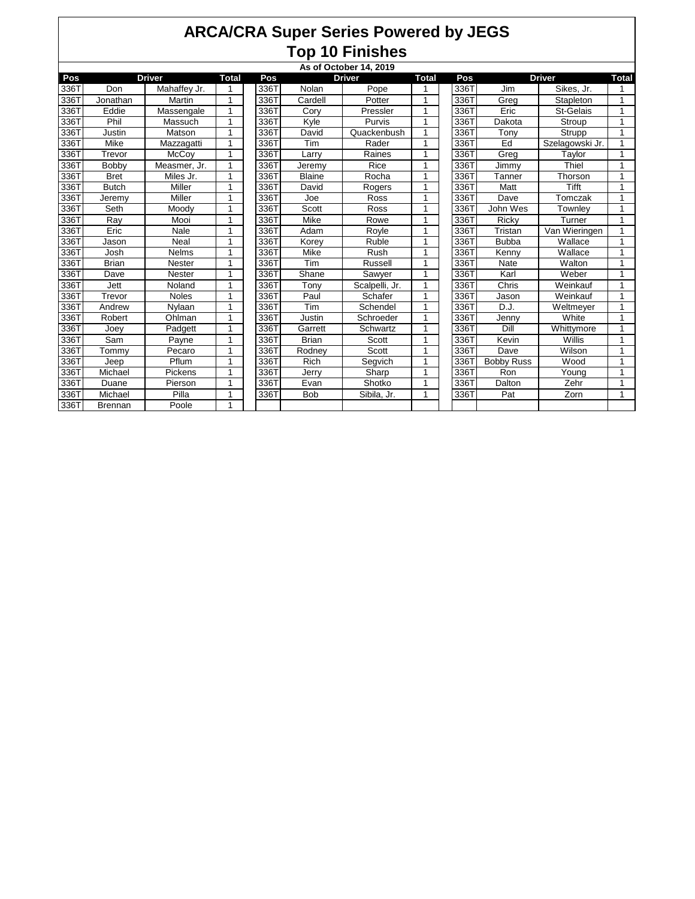|      | As of October 14, 2019 |               |              |      |               |                |              |      |                   |                 |              |  |  |  |
|------|------------------------|---------------|--------------|------|---------------|----------------|--------------|------|-------------------|-----------------|--------------|--|--|--|
| Pos  |                        | <b>Driver</b> | <b>Total</b> | Pos  |               | <b>Driver</b>  | <b>Total</b> | Pos  |                   | <b>Driver</b>   | <b>Total</b> |  |  |  |
| 336T | Don                    | Mahaffey Jr.  | 1            | 336T | Nolan         | Pope           |              | 336T | Jim               | Sikes, Jr.      | 1            |  |  |  |
| 336T | Jonathan               | Martin        | 1            | 336T | Cardell       | Potter         | 1            | 336T | Greg              | Stapleton       | $\mathbf{1}$ |  |  |  |
| 336T | Eddie                  | Massengale    | 1            | 336T | Cory          | Pressler       | 1            | 336T | Eric              | St-Gelais       | $\mathbf{1}$ |  |  |  |
| 336T | Phil                   | Massuch       | 1            | 336T | Kyle          | Purvis         | 1            | 336T | Dakota            | Stroup          | $\mathbf{1}$ |  |  |  |
| 336T | Justin                 | Matson        | 1            | 336T | David         | Quackenbush    | 1            | 336T | Tony              | Strupp          | $\mathbf{1}$ |  |  |  |
| 336T | Mike                   | Mazzagatti    | 1            | 336T | Tim           | Rader          |              | 336T | Ed                | Szelagowski Jr. | 1            |  |  |  |
| 336T | Trevor                 | <b>McCoy</b>  | 1            | 336T | Larry         | Raines         | 1            | 336T | Greg              | Taylor          | $\mathbf{1}$ |  |  |  |
| 336T | Bobby                  | Measmer, Jr.  | 1            | 336T | Jeremy        | Rice           | 1            | 336T | Jimmy             | Thiel           | $\mathbf{1}$ |  |  |  |
| 336T | <b>Bret</b>            | Miles Jr.     | 1            | 336T | <b>Blaine</b> | Rocha          |              | 336T | Tanner            | Thorson         | 1            |  |  |  |
| 336T | <b>Butch</b>           | Miller        | 1            | 336T | David         | Rogers         |              | 336T | Matt              | Tifft           | $\mathbf{1}$ |  |  |  |
| 336T | Jeremy                 | Miller        | 1            | 336T | Joe           | Ross           | 1            | 336T | Dave              | Tomczak         | 1            |  |  |  |
| 336T | Seth                   | Moody         | 1            | 336T | Scott         | Ross           | 4            | 336T | John Wes          | Townley         | 1            |  |  |  |
| 336T | Ray                    | Mooi          | 1            | 336T | Mike          | Rowe           | 1            | 336T | Ricky             | Turner          | $\mathbf{1}$ |  |  |  |
| 336T | Eric                   | Nale          | 1            | 336T | Adam          | Royle          | 1            | 336T | Tristan           | Van Wieringen   | $\mathbf{1}$ |  |  |  |
| 336T | Jason                  | Neal          | 1            | 336T | Korey         | Ruble          |              | 336T | <b>Bubba</b>      | Wallace         | $\mathbf{1}$ |  |  |  |
| 336T | Josh                   | <b>Nelms</b>  | 1            | 336T | Mike          | Rush           |              | 336T | Kenny             | Wallace         | $\mathbf{1}$ |  |  |  |
| 336T | <b>Brian</b>           | Nester        | 1            | 336T | Tim           | Russell        | 1            | 336T | Nate              | Walton          | $\mathbf{1}$ |  |  |  |
| 336T | Dave                   | Nester        | 1            | 336T | Shane         | Sawyer         | 4            | 336T | Karl              | Weber           | $\mathbf{1}$ |  |  |  |
| 336T | Jett                   | Noland        | 1            | 336T | Tony          | Scalpelli, Jr. |              | 336T | Chris             | Weinkauf        | 1            |  |  |  |
| 336T | Trevor                 | <b>Noles</b>  | 1            | 336T | Paul          | Schafer        | 1            | 336T | Jason             | Weinkauf        | $\mathbf{1}$ |  |  |  |
| 336T | Andrew                 | Nvlaan        | 1            | 336T | Tim           | Schendel       |              | 336T | D.J.              | Weltmeyer       | 1            |  |  |  |
| 336T | Robert                 | Ohlman        | 1            | 336T | Justin        | Schroeder      |              | 336T | Jenny             | White           | 1            |  |  |  |
| 336T | Joey                   | Padgett       | 1            | 336T | Garrett       | Schwartz       | 1            | 336T | Dill              | Whittymore      | 1            |  |  |  |
| 336T | Sam                    | Payne         | 1            | 336T | <b>Brian</b>  | Scott          |              | 336T | Kevin             | Willis          | $\mathbf{1}$ |  |  |  |
| 336T | Tommy                  | Pecaro        | 1            | 336T | Rodney        | Scott          |              | 336T | Dave              | Wilson          | 1            |  |  |  |
| 336T | Jeep                   | Pflum         | 1            | 336T | Rich          | Segvich        | 4            | 336T | <b>Bobby Russ</b> | Wood            | 1            |  |  |  |
| 336T | Michael                | Pickens       | 1            | 336T | Jerry         | Sharp          |              | 336T | Ron               | Young           | $\mathbf{1}$ |  |  |  |
| 336T | Duane                  | Pierson       | 1            | 336T | Evan          | Shotko         |              | 336T | Dalton            | Zehr            | $\mathbf{1}$ |  |  |  |
| 336T | Michael                | Pilla         | 1            | 336T | <b>Bob</b>    | Sibila, Jr.    | 1            | 336T | Pat               | Zorn            | 1            |  |  |  |
| 336T | <b>Brennan</b>         | Poole         | 1            |      |               |                |              |      |                   |                 |              |  |  |  |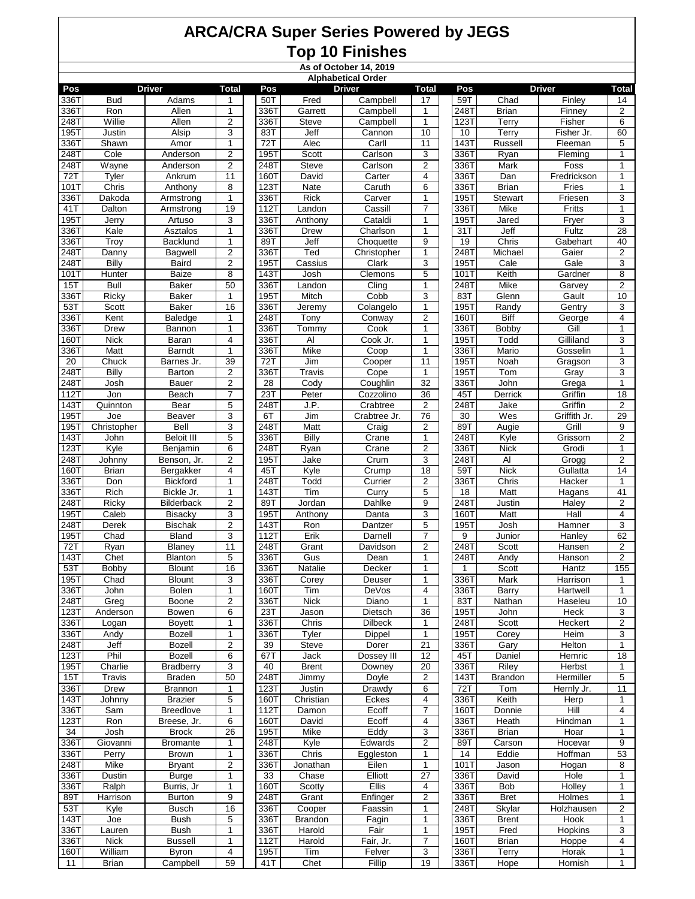| As of October 14, 2019<br><b>Alphabetical Order</b> |                 |                                    |                         |              |                            |                           |                 |              |                       |                         |                      |  |
|-----------------------------------------------------|-----------------|------------------------------------|-------------------------|--------------|----------------------------|---------------------------|-----------------|--------------|-----------------------|-------------------------|----------------------|--|
|                                                     |                 |                                    |                         |              |                            |                           |                 |              |                       |                         |                      |  |
| Pos<br>336T                                         | <b>Bud</b>      | Driver<br>Adams                    | Total<br>1              | Pos<br>50T   | Fred                       | <b>Driver</b><br>Campbell | Total<br>17     | Pos<br>59T   | Chad                  | <b>Driver</b><br>Finley | Total<br>14          |  |
| 336T                                                | Ron             | Allen                              | $\mathbf{1}$            | 336T         | Garrett                    | Campbell                  | 1               | 248T         | <b>Brian</b>          | Finney                  | $\overline{2}$       |  |
| 248T                                                | Willie          | Allen                              | 2                       | 336T         | Steve                      | Campbell                  | 1               | 123T         | Terry                 | Fisher                  | 6                    |  |
| 195T                                                | Justin          | Alsip                              | 3                       | 83T          | Jeff                       | Cannon                    | 10              | 10           | Terry                 | Fisher Jr.              | 60                   |  |
| 336T                                                | Shawn           | Amor                               | 1                       | 72T          | Alec                       | Carll                     | 11              | 143T         | Russell               | Fleeman                 | 5                    |  |
| 248T                                                | Cole            | Anderson                           | $\overline{c}$          | 195T         | Scott                      | Carlson                   | 3               | 336T         | Ryan                  | Fleming                 | $\mathbf{1}$         |  |
| 248T                                                | Wayne           | Anderson                           | $\sqrt{2}$              | 248T         | Steve                      | Carlson                   | $\overline{2}$  | 336T         | Mark                  | Foss                    | $\mathbf{1}$         |  |
| 72T                                                 | Tyler           | Ankrum                             | 11                      | 160T         | David                      | Carter                    | 4               | 336T         | Dan                   | Fredrickson             | 1                    |  |
| 101T                                                | Chris           | Anthony                            | 8                       | 123T         | <b>Nate</b>                | Caruth                    | 6               | 336T         | <b>Brian</b>          | Fries                   | $\mathbf{1}$         |  |
| 336T                                                | Dakoda          | Armstrong                          | $\mathbf{1}$            | 336T         | <b>Rick</b>                | Carver                    | 1               | 195T         | <b>Stewart</b>        | Friesen                 | 3                    |  |
| 41T                                                 | Dalton          | Armstrong                          | 19                      | 112T         | Landon                     | Cassill                   | $\overline{7}$  | 336T         | Mike                  | Fritts                  | 1                    |  |
| 195T                                                | Jerry           | Artuso                             | 3                       | 336T         | Anthony                    | Cataldi                   | 1               | 195T         | Jared                 | Fryer                   | 3                    |  |
| 336T                                                | Kale            | Asztalos                           | 1                       | 336T         | <b>Drew</b>                | Charlson                  | 1               | 31T          | Jeff                  | Fultz                   | $\overline{28}$      |  |
| 336T                                                | Troy            | <b>Backlund</b>                    | 1                       | 89T          | Jeff                       | Choquette                 | 9               | 19           | Chris                 | Gabehart                | 40                   |  |
| 248T                                                | Danny           | Bagwell                            | $\overline{c}$          | 336T         | Ted                        | Christopher               | 1               | 248T         | Michael               | Gaier                   | $\overline{c}$       |  |
| 248T                                                | Billy           | Baird                              | 2                       | 195T         | Cassius                    | Clark                     | 3               | 195T         | Cale                  | Gale                    | 3                    |  |
| 101T                                                | <b>Hunter</b>   | Baize                              | 8                       | 143T         | Josh                       | Clemons                   | 5               | 101T         | Keith                 | Gardner                 | $\overline{8}$       |  |
| 15T                                                 | <b>Bull</b>     | Baker                              | 50                      | 336T         | Landon                     | Cling                     | 1               | 248T         | <b>Mike</b>           | Garvey                  | 2                    |  |
| 336T                                                | Ricky           | Baker                              | $\mathbf{1}$            | 195T         | Mitch                      | Cobb                      | 3               | 83T          | Glenn                 | Gault                   | 10                   |  |
| 53T                                                 | Scott           | Baker                              | 16                      | 336T         | Jeremy                     | Colangelo                 | 1               | 195T         | Randy                 | Gentry                  | 3                    |  |
| 336T                                                | Kent            | Baledge                            | 1                       | 248T         | Tony                       | Conway                    | 2               | <b>160T</b>  | Biff                  | George                  | 4                    |  |
| 336T                                                | Drew            | Bannon                             | $\mathbf{1}$            | 336T         | Tommy                      | Cook                      | 1               | 336T         | <b>Bobby</b>          | Gill                    | $\mathbf{1}$         |  |
| 160T                                                | <b>Nick</b>     | Baran                              | $\overline{\mathbf{4}}$ | 336T         | Al                         | Cook Jr.                  | 1               | 195T         | Todd                  | Gilliland               | 3                    |  |
| 336T                                                | Matt            | Barndt                             | $\mathbf{1}$            | 336T         | Mike                       | Coop                      | 1               | 336T         | Mario                 | Gosselin                | 1                    |  |
| 20                                                  | Chuck           | Barnes Jr.                         | 39                      | 72T          | Jim                        | Cooper                    | 11              | 195T         | Noah                  | Gragson                 | 3                    |  |
| 248T                                                | <b>Billy</b>    | Barton                             | 2                       | 336T         | Travis                     | Cope                      | 1               | 195T         | Tom                   | Gray                    | 3                    |  |
| 248T                                                | Josh            | Bauer                              | $\sqrt{2}$              | 28           | Cody                       | Coughlin                  | $\overline{32}$ | 336T         | John                  | Grega                   | $\mathbf{1}$         |  |
| 112T                                                | Jon             | Beach                              | $\overline{7}$          | 23T          | Peter<br>J.P.              | Cozzolino                 | 36              | 45T          | Derrick               | Griffin                 | 18                   |  |
| 143T                                                | Quinnton<br>Joe | Bear                               | 5                       | 248T         |                            | Crabtree                  | 2               | 248T         | Jake<br>Wes           | Griffin<br>Griffith Jr. | 2                    |  |
| 195T<br>195T                                        | Christopher     | <b>Beaver</b><br>Bell              | 3<br>3                  | 6T<br>248T   | Jim<br>Matt                | Crabtree Jr.<br>Craig     | 76<br>2         | 30<br>89T    | Augie                 | Grill                   | 29<br>$\overline{9}$ |  |
| 143T                                                | John            | <b>Beloit III</b>                  | $\mathbf 5$             | 336T         | <b>Billy</b>               | Crane                     | 1               | 248T         | Kyle                  | Grissom                 | $\overline{2}$       |  |
| 123T                                                | Kyle            | Benjamin                           | 6                       | 248T         | Ryan                       | Crane                     | 2               | 336T         | <b>Nick</b>           | Grodi                   | 1                    |  |
| 248T                                                | Johnny          | Benson, Jr.                        | 2                       | 195T         | Jake                       | Crum                      | 3               | 248T         | Al                    | Grogg                   | 2                    |  |
| 160T                                                | Brian           | Bergakker                          | 4                       | 45T          | Kyle                       | Crump                     | 18              | 59T          | <b>Nick</b>           | Gullatta                | 14                   |  |
| 336T                                                | Don             | <b>Bickford</b>                    | 1                       | 248T         | Todd                       | Currier                   | 2               | 336T         | Chris                 | Hacker                  | 1                    |  |
| 336T                                                | Rich            | Bickle Jr.                         | $\mathbf{1}$            | 143T         | Tim                        | Curry                     | 5               | 18           | Matt                  | Hagans                  | 41                   |  |
| 248T                                                | Ricky           | Bilderback                         | 2                       | 89T          | Jordan                     | Dahlke                    | 9               | 248T         | Justin                | Haley                   | 2                    |  |
| 195T                                                | Caleb           | <b>Bisacky</b>                     | 3                       | 195T         | Anthony                    | Danta                     | 3               | 160T         | Matt                  | Hall                    | 4                    |  |
| 248T                                                | Derek           | <b>Bischak</b>                     | $\overline{2}$          | 143T         | Ron                        | Dantzer                   | 5               | 195T         | Josh                  | Hamner                  | 3                    |  |
| 195T                                                | Chad            | Bland                              | 3                       | 112T         | Erik                       | Darnell                   | 7               | 9            | Junior                | Hanley                  | 62                   |  |
| 72T                                                 | Ryan            | Blaney                             | 11                      | 248T         | Grant                      | Davidson                  | $\overline{2}$  | 248T         | Scott                 | Hansen                  | 2                    |  |
| 143T                                                | Chet            | Blanton                            | $\,$ 5 $\,$             | 336T         | Gus                        | Dean                      | 1               | 248T         | Andy                  | Hanson                  | $\overline{2}$       |  |
| 53T                                                 | Bobby           | <b>Blount</b>                      | 16                      | 336T         | Natalie                    | Decker                    | 1               | $\mathbf{1}$ | Scott                 | Hantz                   | 155                  |  |
| 195T                                                | Chad            | <b>Blount</b>                      | 3                       | 336T         | Corey                      | Deuser                    | 1               | 336T         | Mark                  | Harrison                | 1                    |  |
| 336T                                                | John            | <b>Bolen</b>                       | 1                       | 160T         | Tim                        | DeVos                     | 4               | 336T         | Barry                 | Hartwell                | 1                    |  |
| 248T                                                | Greg            | Boone                              | $\overline{c}$          | 336T         | <b>Nick</b>                | Diano                     | 1               | 83T          | Nathan                | Haseleu                 | 10                   |  |
| 123T                                                | Anderson        | Bowen                              | 6                       | 23T          | Jason                      | Dietsch                   | 36              | 195T         | John                  | Heck                    | 3                    |  |
| 336T                                                | Logan           | <b>Boyett</b>                      | 1                       | 336T         | Chris                      | <b>Dilbeck</b>            | 1               | 248T         | Scott                 | Heckert                 | 2                    |  |
| 336T                                                | Andy            | <b>Bozell</b>                      | 1                       | 336T         | Tyler                      | Dippel                    | 1               | 195T         | Corey                 | Heim                    | 3                    |  |
| 248T                                                | Jeff            | <b>Bozell</b>                      | 2                       | 39           | Steve                      | Dorer                     | 21              | 336T         | Gary                  | Helton                  | 1                    |  |
| 123T                                                | Phil            | Bozell                             | 6                       | 67T          | Jack                       | Dossey III                | 12              | 45T          | Daniel                | Hemric                  | 18                   |  |
| 195T                                                | Charlie         | <b>Bradberry</b>                   | 3                       | 40           | <b>Brent</b>               | Downey                    | 20              | 336T         | Riley                 | Herbst                  | 1                    |  |
| 15T                                                 | Travis          | <b>Braden</b>                      | 50                      | 248T         | Jimmy                      | Doyle                     | 2               | 143T         | <b>Brandon</b>        | Hermiller               | 5                    |  |
| 336T                                                | Drew            | <b>Brannon</b>                     | $\mathbf{1}$            | 123T         | <b>Justin</b><br>Christian | Drawdy                    | 6               | 72T          | Tom                   | Hernly Jr.              | 11                   |  |
| 143T<br>336T                                        | Johnny<br>Sam   | <b>Brazier</b><br><b>Breedlove</b> | 5<br>$\mathbf{1}$       | 160T<br>112T | Damon                      | Eckes<br>Ecoff            | 4<br>7          | 336T<br>160T | Keith<br>Donnie       | Herp<br>Hill            | 1<br>4               |  |
|                                                     |                 |                                    |                         |              | David                      |                           |                 |              |                       |                         |                      |  |
| 123T<br>34                                          | Ron<br>Josh     | Breese, Jr.<br><b>Brock</b>        | 6<br>26                 | 160T<br>195T | Mike                       | Ecoff<br>Eddy             | 4<br>3          | 336T<br>336T | Heath<br><b>Brian</b> | Hindman<br>Hoar         | 1<br>1               |  |
| 336T                                                | Giovanni        | Bromante                           | $\mathbf{1}$            | 248T         | Kyle                       | Edwards                   | 2               | 89T          | Carson                | Hocevar                 | 9                    |  |
| 336T                                                | Perry           | <b>Brown</b>                       | 1                       | 336T         | Chris                      | Eggleston                 | 1               | 14           | Eddie                 | Hoffman                 | 53                   |  |
| 248T                                                | Mike            | <b>Bryant</b>                      | $\overline{2}$          | 336T         | Jonathan                   | Eilen                     | 1               | 101T         | Jason                 | Hogan                   | 8                    |  |
| 336T                                                | Dustin          | <b>Burge</b>                       | 1                       | 33           | Chase                      | Elliott                   | 27              | 336T         | David                 | Hole                    | 1                    |  |
| 336T                                                | Ralph           | Burris, Jr                         | 1                       | 160T         | Scotty                     | Ellis                     | 4               | 336T         | Bob                   | Holley                  | 1                    |  |
| 89T                                                 | Harrison        | Burton                             | 9                       | 248T         | Grant                      | Enfinger                  | 2               | 336T         | Bret                  | Holmes                  | 1                    |  |
| 53T                                                 | Kyle            | <b>Busch</b>                       | 16                      | 336T         | Cooper                     | Faassin                   | 1               | 248T         | Skylar                | Holzhausen              | 2                    |  |
| 143T                                                | Joe             | <b>Bush</b>                        | 5                       | 336T         | Brandon                    | Fagin                     | 1               | 336T         | <b>Brent</b>          | Hook                    | 1                    |  |
| 336T                                                | Lauren          | <b>Bush</b>                        | $\mathbf{1}$            | 336T         | Harold                     | Fair                      | 1               | 195T         | Fred                  | Hopkins                 | 3                    |  |
| 336T                                                | <b>Nick</b>     | <b>Bussell</b>                     | 1                       | 112T         | Harold                     | Fair, Jr.                 | 7               | 160T         | <b>Brian</b>          | Hoppe                   | 4                    |  |
| 160T                                                | William         | <b>Byron</b>                       | 4                       | 195T         | Tim                        | Felver                    | 3               | 336T         | Terry                 | Horak                   | 1                    |  |
| 11                                                  | <b>Brian</b>    | Campbell                           | 59                      | 41T          | Chet                       | Fillip                    | 19              | 336T         | Hope                  | Hornish                 | $\mathbf{1}$         |  |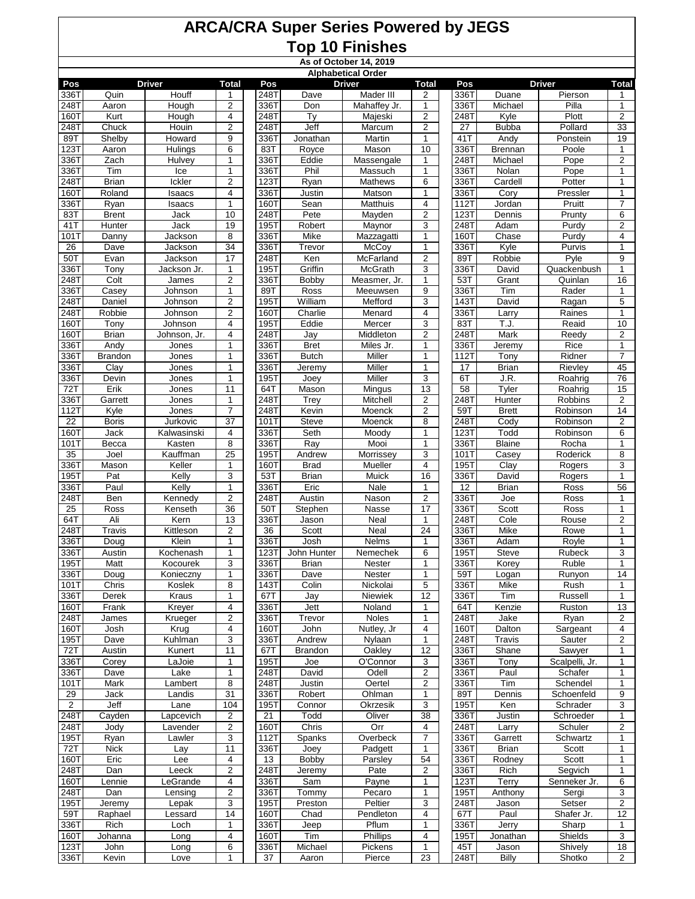**As of October 14, 2019**

|              | <b>Alphabetical Order</b><br>Pos<br><b>Driver</b><br><b>Total</b><br><b>Driver</b><br>Pos<br><b>Driver</b><br><b>Total</b><br>Pos<br><b>Total</b> |                    |                                   |              |                   |                         |                                   |              |                      |                   |                         |  |  |  |
|--------------|---------------------------------------------------------------------------------------------------------------------------------------------------|--------------------|-----------------------------------|--------------|-------------------|-------------------------|-----------------------------------|--------------|----------------------|-------------------|-------------------------|--|--|--|
|              |                                                                                                                                                   |                    |                                   |              |                   |                         |                                   |              |                      |                   |                         |  |  |  |
| 336T<br>248T | Quin                                                                                                                                              | Houff              | 1<br>$\overline{2}$               | 248T<br>336T | Dave              | Mader III               | $\overline{2}$                    | 336T         | Duane<br>Michael     | Pierson<br>Pilla  | 1<br>$\mathbf{1}$       |  |  |  |
| <b>160T</b>  | Aaron<br>Kurt                                                                                                                                     | Hough<br>Hough     | 4                                 | 248T         | Don<br>Ty         | Mahaffey Jr.<br>Majeski | 1<br>$\overline{2}$               | 336T<br>248T | Kyle                 | Plott             | $\overline{2}$          |  |  |  |
| 2487         | Chuck                                                                                                                                             | Houin              | $\overline{2}$                    | 248T         | Jeff              | Marcum                  | $\overline{2}$                    | 27           | <b>Bubba</b>         | Pollard           | 33                      |  |  |  |
| 89T          | Shelby                                                                                                                                            | Howard             | 9                                 | 336T         | Jonathan          | Martin                  | $\mathbf{1}$                      | 41 T         | Andy                 | Ponstein          | 19                      |  |  |  |
| 123T         | Aaron                                                                                                                                             | Hulings            | 6                                 | 83T          | Royce             | Mason                   | 10                                | 336T         | <b>Brennan</b>       | Poole             | $\mathbf{1}$            |  |  |  |
| 336T         | Zach                                                                                                                                              | Hulvey             | 1                                 | 336T         | Eddie             | Massengale              | 1                                 | 248T         | Michael              | Pope              | $\overline{2}$          |  |  |  |
| 336T         | Tim                                                                                                                                               | Ice                | 1                                 | 336T         | Phil              | Massuch                 | $\mathbf{1}$                      | 336T         | Nolan                | Pope              | $\mathbf{1}$            |  |  |  |
| 248T         | <b>Brian</b>                                                                                                                                      | Ickler             | $\mathbf 2$                       | 123T         | Ryan              | <b>Mathews</b>          | 6                                 | 336T         | Cardell              | Potter            | $\mathbf{1}$            |  |  |  |
| 160T         | Roland                                                                                                                                            | Isaacs             | 4                                 | 336T         | Justin            | Matson                  | 1                                 | 336T         | Cory                 | Pressler          | 1                       |  |  |  |
| 336T         | Ryan                                                                                                                                              | Isaacs             | $\mathbf{1}$                      | 160T         | Sean              | Matthuis                | 4                                 | 112T         | Jordan               | Pruitt            | 7                       |  |  |  |
| 83T          | <b>Brent</b>                                                                                                                                      | Jack               | 10                                | 248T         | Pete              | Mayden                  | $\overline{2}$                    | 123T         | Dennis               | Prunty            | 6                       |  |  |  |
| 41T<br>101T  | Hunter<br>Danny                                                                                                                                   | Jack<br>Jackson    | 19<br>8                           | 195T<br>336T | Robert<br>Mike    | Maynor<br>Mazzagatti    | 3<br>$\mathbf{1}$                 | 248T<br>160T | Adam<br>Chase        | Purdy<br>Purdy    | 2<br>$\overline{4}$     |  |  |  |
| 26           | Dave                                                                                                                                              | Jackson            | 34                                | 336T         | Trevor            | McCoy                   | $\mathbf{1}$                      | 336T         | Kyle                 | Purvis            | $\mathbf{1}$            |  |  |  |
| 50T          | Evan                                                                                                                                              | Jackson            | 17                                | 248T         | Ken               | McFarland               | $\overline{c}$                    | 89T          | Robbie               | Pyle              | 9                       |  |  |  |
| 336T         | Tony                                                                                                                                              | Jackson Jr.        | 1                                 | 195T         | Griffin           | <b>McGrath</b>          | 3                                 | 336T         | David                | Quackenbush       | $\mathbf{1}$            |  |  |  |
| 248T         | Colt                                                                                                                                              | James              | $\overline{\mathbf{c}}$           | 336T         | Bobby             | Measmer, Jr.            | 1                                 | 53T          | Grant                | Quinlan           | 16                      |  |  |  |
| 3367         | Casev                                                                                                                                             | Johnson            | $\mathbf{1}$                      | 89T          | Ross              | Meeuwsen                | 9                                 | 336T         | Tim                  | Rader             | $\mathbf{1}$            |  |  |  |
| 248T         | Daniel                                                                                                                                            | Johnson            | $\overline{c}$                    | 195T         | William           | Mefford                 | 3                                 | 143T         | David                | Ragan             | 5                       |  |  |  |
| 2487         | Robbie                                                                                                                                            | Johnson            | $\overline{c}$                    | 160T         | Charlie           | Menard                  | 4                                 | 336T         | Larry                | Raines            | $\mathbf{1}$            |  |  |  |
| 160T         | Tony                                                                                                                                              | Johnson            | $\overline{\mathbf{4}}$           | 195T         | Eddie             | Mercer                  | 3                                 | 83T          | T.J.                 | Reaid             | 10                      |  |  |  |
| 160T         | <b>Brian</b>                                                                                                                                      | Johnson, Jr.       | 4                                 | 248T         | Jay               | Middleton               | $\overline{2}$                    | 248T         | <b>Mark</b>          | Reedy             | $\overline{2}$          |  |  |  |
| 336T         | Andy                                                                                                                                              | Jones              | $\mathbf{1}$                      | 336T         | <b>Bret</b>       | Miles Jr.               | $\mathbf{1}$                      | 336T         | Jeremy               | Rice              | $\mathbf{1}$            |  |  |  |
| 336T         | <b>Brandon</b>                                                                                                                                    | Jones              | $\mathbf{1}$                      | 336T         | <b>Butch</b>      | Miller<br>Miller        | $\mathbf{1}$                      | 112T         | Tony                 | Ridner<br>Rievley | $\overline{7}$          |  |  |  |
| 336T<br>336T | Clay<br>Devin                                                                                                                                     | Jones<br>Jones     | $\mathbf{1}$<br>$\mathbf{1}$      | 336T<br>195T | Jeremy<br>Joey    | Miller                  | $\mathbf{1}$<br>3                 | 17<br>6T     | <b>Brian</b><br>J.R. | Roahrig           | 45<br>76                |  |  |  |
| 72T          | Erik                                                                                                                                              | Jones              | 11                                | 64T          | Mason             | Mingus                  | 13                                | 58           | Tyler                | Roahrig           | 15                      |  |  |  |
| 3367         | Garrett                                                                                                                                           | Jones              | $\mathbf{1}$                      | 248T         | Trey              | Mitchell                | $\mathbf 2$                       | 248T         | Hunter               | Robbins           | $\boldsymbol{2}$        |  |  |  |
| 112T         | Kyle                                                                                                                                              | Jones              | 7                                 | 248T         | Kevin             | Moenck                  | $\overline{2}$                    | 59T          | <b>Brett</b>         | Robinson          | 14                      |  |  |  |
| 22           | <b>Boris</b>                                                                                                                                      | Jurkovic           | 37                                | 101T         | Steve             | Moenck                  | 8                                 | 248T         | Cody                 | Robinson          | $\overline{\mathbf{c}}$ |  |  |  |
| 160T         | Jack                                                                                                                                              | Kalwasinski        | 4                                 | 336T         | Seth              | Moody                   | $\mathbf{1}$                      | 123T         | Todd                 | Robinson          | 6                       |  |  |  |
| 1011         | Becca                                                                                                                                             | Kasten             | 8                                 | 336T         | Ray               | Mooi                    | $\mathbf{1}$                      | 336T         | <b>Blaine</b>        | Rocha             | 1                       |  |  |  |
| 35           | Joel                                                                                                                                              | Kauffman           | 25                                | <b>195T</b>  | Andrew            | Morrissey               | 3                                 | 101T         | Casey                | Roderick          | 8                       |  |  |  |
| 336T         | Mason                                                                                                                                             | Keller             | $\mathbf{1}$                      | 160T         | <b>Brad</b>       | Mueller                 | $\overline{4}$                    | 195T         | Clay                 | Rogers            | 3                       |  |  |  |
| 195T         | Pat                                                                                                                                               | Kelly              | 3                                 | 53T          | <b>Brian</b>      | Muick                   | 16                                | 336T         | David                | Rogers            | $\mathbf{1}$            |  |  |  |
| 336T         | Paul                                                                                                                                              | Kelly              | $\mathbf{1}$                      | 336T         | Eric              | <b>Nale</b>             | 1                                 | 12           | <b>Brian</b>         | Ross              | 56                      |  |  |  |
| 2487<br>25   | Ben<br>Ross                                                                                                                                       | Kennedy<br>Kenseth | $\overline{2}$<br>$\overline{36}$ | 248T<br>50T  | Austin<br>Stephen | Nason<br>Nasse          | $\overline{2}$<br>$\overline{17}$ | 336T<br>336T | Joe<br>Scott         | Ross<br>Ross      | 1<br>$\mathbf{1}$       |  |  |  |
| 64T          | Ali                                                                                                                                               | Kern               | 13                                | 336T         | Jason             | Neal                    | $\mathbf{1}$                      | 248T         | Cole                 | Rouse             | $\overline{\mathbf{c}}$ |  |  |  |
| 248T         | Travis                                                                                                                                            | Kittleson          | 2                                 | 36           | Scott             | Neal                    | 24                                | 336T         | Mike                 | Rowe              | $\mathbf{1}$            |  |  |  |
| 336T         | Doug                                                                                                                                              | Klein              | $\mathbf{1}$                      | 336T         | Josh              | Nelms                   | 1                                 | 336T         | Adam                 | Royle             | $\mathbf{1}$            |  |  |  |
| 336T         | Austin                                                                                                                                            | Kochenash          | 1                                 | 123T         | John Hunter       | Nemechek                | 6                                 | 195T         | Steve                | Rubeck            | 3                       |  |  |  |
| 195T         | Matt                                                                                                                                              | Kocourek           | 3                                 | 336T         | <b>Brian</b>      | Nester                  | 1                                 | 336T         | Korey                | Ruble             | $\mathbf{1}$            |  |  |  |
| 336T         | Doug                                                                                                                                              | Konieczny          | $\mathbf{1}$                      | 336T         | Dave              | Nester                  | 1                                 | 59T          | Logan                | Runyon            | 14                      |  |  |  |
| 101T         | Chris                                                                                                                                             | Koslek             | 8                                 | 143T         | Colin             | Nickolai                | $\,$ 5 $\,$                       | 336T         | Mike                 | Rush              | 1                       |  |  |  |
| 336T         | Derek                                                                                                                                             | Kraus              | 1                                 | 67T          | Jay               | Niewiek                 | 12                                | 336T         | Tim                  | Russell           | $\mathbf{1}$            |  |  |  |
| 160T         | Frank                                                                                                                                             | Kreyer             | 4                                 | 336T         | Jett              | Noland                  | 1                                 | 64T          | Kenzie               | Ruston            | 13                      |  |  |  |
| 248T<br>160T | James                                                                                                                                             | Krueger<br>Krug    | $\overline{2}$<br>4               | 336T<br>160T | Trevor<br>John    | Noles<br>Nutley, Jr     | $\mathbf{1}$<br>4                 | 248T<br>160T | Jake<br>Dalton       | Ryan<br>Sargeant  | $\sqrt{2}$<br>4         |  |  |  |
| 195T         | Josh<br>Dave                                                                                                                                      | Kuhlman            | 3                                 | 336T         | Andrew            | Nylaan                  | 1                                 | 248T         | Travis               | Sauter            | 2                       |  |  |  |
| 72T          | Austin                                                                                                                                            | Kunert             | 11                                | 67T          | Brandon           | Oakley                  | 12                                | 336T         | Shane                | Sawyer            | $\mathbf{1}$            |  |  |  |
| 336T         | Corey                                                                                                                                             | LaJoie             | 1                                 | 195T         | Joe               | O'Connor                | 3                                 | 336T         | Tony                 | Scalpelli, Jr.    | 1                       |  |  |  |
| 336T         | Dave                                                                                                                                              | Lake               | $\mathbf{1}$                      | 248T         | David             | Odell                   | $\overline{2}$                    | 336T         | Paul                 | Schafer           | $\mathbf{1}$            |  |  |  |
| 101T         | Mark                                                                                                                                              | Lambert            | 8                                 | 248T         | <b>Justin</b>     | Oertel                  | $\overline{2}$                    | 336T         | Tim                  | Schendel          | 1                       |  |  |  |
| 29           | Jack                                                                                                                                              | Landis             | 31                                | 336T         | Robert            | Ohlman                  | 1                                 | 89T          | Dennis               | Schoenfeld        | 9                       |  |  |  |
| $\mathbf{2}$ | Jeff                                                                                                                                              | Lane               | 104                               | 195T         | Connor            | Okrzesik                | 3                                 | 195T         | Ken                  | Schrader          | 3                       |  |  |  |
| 248T         | Cayden                                                                                                                                            | Lapcevich          | 2                                 | 21           | Todd              | Oliver                  | 38                                | 336T         | Justin               | Schroeder         | 1                       |  |  |  |
| 248T         | Jody                                                                                                                                              | Lavender           | $\overline{2}$                    | <b>160T</b>  | Chris             | Orr                     | 4                                 | 248T         | Larry                | Schuler           | $\overline{\mathbf{c}}$ |  |  |  |
| 195T         | Ryan                                                                                                                                              | Lawler             | 3                                 | 112T         | Spanks            | Overbeck                | $\overline{7}$                    | 336T         | Garrett              | Schwartz          | 1                       |  |  |  |
| 72T<br>160T  | <b>Nick</b><br>Eric                                                                                                                               | Lay<br>Lee         | 11<br>4                           | 336T<br>13   | Joey<br>Bobby     | Padgett<br>Parsley      | 1<br>54                           | 336T<br>336T | Brian<br>Rodney      | Scott<br>Scott    | 1<br>$\mathbf{1}$       |  |  |  |
| 248T         | Dan                                                                                                                                               | Leeck              | $\overline{c}$                    | 248T         | Jeremy            | Pate                    | $\overline{c}$                    | 336T         | Rich                 | Segvich           | 1                       |  |  |  |
| 160T         | Lennie                                                                                                                                            | LeGrande           | $\overline{\mathbf{4}}$           | 336T         | Sam               | Payne                   | $\mathbf{1}$                      | 123T         | Terry                | Senneker Jr.      | 6                       |  |  |  |
| 248T         | Dan                                                                                                                                               | Lensing            | $\mathbf 2$                       | 336T         | Tommy             | Pecaro                  | 1                                 | 195T         | Anthony              | Sergi             | 3                       |  |  |  |
| 195T         | Jeremy                                                                                                                                            | Lepak              | $\overline{3}$                    | 195T         | Preston           | Peltier                 | 3                                 | 248T         | Jason                | Setser            | $\overline{2}$          |  |  |  |
| 59T          | Raphael                                                                                                                                           | Lessard            | 14                                | 160T         | Chad              | Pendleton               | 4                                 | 67T          | Paul                 | Shafer Jr.        | 12                      |  |  |  |
| 336T         | Rich                                                                                                                                              | Loch               | 1                                 | 336T         | Jeep              | Pflum                   | 1                                 | 336T         | Jerry                | Sharp             | 1                       |  |  |  |
| <b>160T</b>  | Johanna                                                                                                                                           | Long               | 4                                 | 160T         | Tim               | Phillips                | 4                                 | 195T         | Jonathan             | Shields           | 3                       |  |  |  |
| 123T         | John                                                                                                                                              | Long               | 6                                 | 336T         | Michael           | Pickens                 | 1                                 | 45T          | Jason                | Shively           | $\overline{18}$         |  |  |  |
| 336T         | Kevin                                                                                                                                             | Love               |                                   | 37           | Aaron             | Pierce                  | 23                                | 248T         | <b>Billy</b>         | Shotko            | $\overline{2}$          |  |  |  |